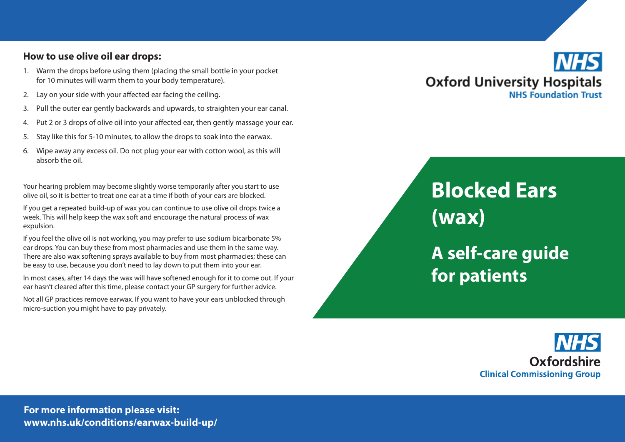## **How to use olive oil ear drops:**

- 1. Warm the drops before using them (placing the small bottle in your pocket for 10 minutes will warm them to your body temperature).
- 2. Lay on your side with your affected ear facing the ceiling.
- 3. Pull the outer ear gently backwards and upwards, to straighten your ear canal.
- 4. Put 2 or 3 drops of olive oil into your affected ear, then gently massage your ear.
- 5. Stay like this for 5-10 minutes, to allow the drops to soak into the earwax.
- 6. Wipe away any excess oil. Do not plug your ear with cotton wool, as this will absorb the oil.

Your hearing problem may become slightly worse temporarily after you start to use olive oil, so it is better to treat one ear at a time if both of your ears are blocked.

If you get a repeated build-up of wax you can continue to use olive oil drops twice a week. This will help keep the wax soft and encourage the natural process of wax expulsion.

If you feel the olive oil is not working, you may prefer to use sodium bicarbonate 5% ear drops. You can buy these from most pharmacies and use them in the same way. There are also wax softening sprays available to buy from most pharmacies; these can be easy to use, because you don't need to lay down to put them into your ear.

In most cases, after 14 days the wax will have softened enough for it to come out. If your ear hasn't cleared after this time, please contact your GP surgery for further advice.

Not all GP practices remove earwax. If you want to have your ears unblocked through micro-suction you might have to pay privately.



# **Blocked Ears (wax) A self-care guide for patients**